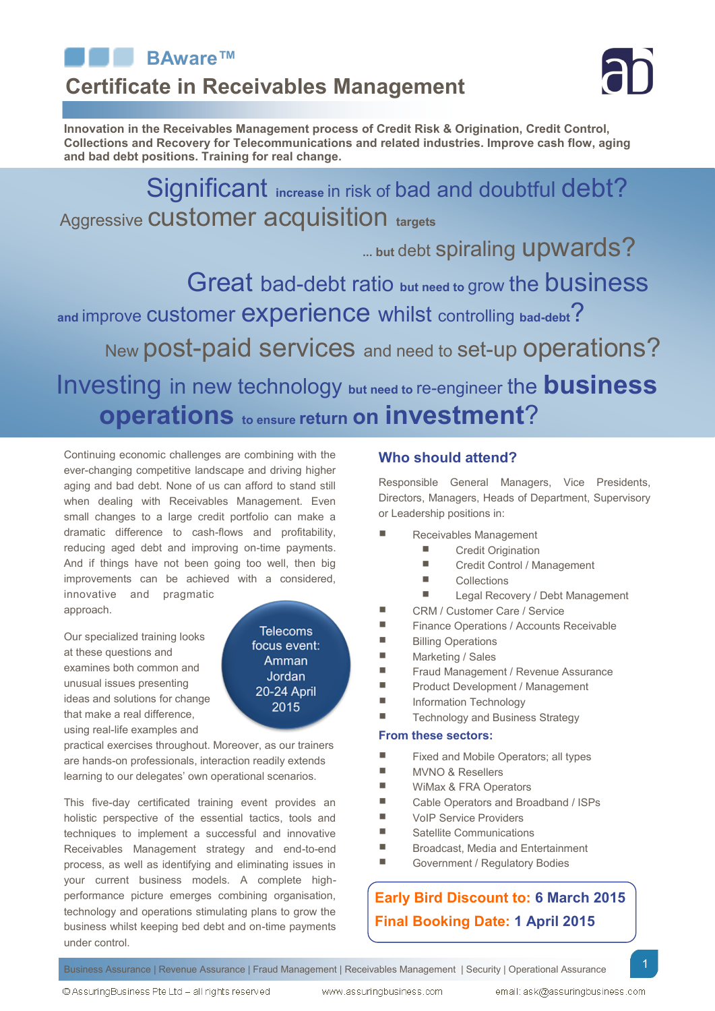

# **Certificate in Receivables Management**



**Innovation in the Receivables Management process of Credit Risk & Origination, Credit Control, Collections and Recovery for Telecommunications and related industries. Improve cash flow, aging and bad debt positions. Training for real change.**

Significant **increase** in risk of bad and doubtful debt? Aggressive customer acquisition **targets**

**... but** debt spiraling upwards?

Great bad-debt ratio **but need to** grow the business **and** improve customer experience whilst controlling **bad-debt**? New post-paid services and need to set-up operations?

Investing in new technology **but need to** re-engineer the **business operations to ensure return on investment**?

Continuing economic challenges are combining with the ever-changing competitive landscape and driving higher aging and bad debt. None of us can afford to stand still when dealing with Receivables Management. Even small changes to a large credit portfolio can make a dramatic difference to cash-flows and profitability, reducing aged debt and improving on-time payments. And if things have not been going too well, then big improvements can be achieved with a considered, innovative and pragmatic approach.

Our specialized training looks at these questions and examines both common and unusual issues presenting ideas and solutions for change that make a real difference, using real-life examples and

**Telecoms** focus event: Amman Jordan 20-24 April 2015

practical exercises throughout. Moreover, as our trainers are hands-on professionals, interaction readily extends learning to our delegates' own operational scenarios.

This five-day certificated training event provides an holistic perspective of the essential tactics, tools and techniques to implement a successful and innovative Receivables Management strategy and end-to-end process, as well as identifying and eliminating issues in your current business models. A complete highperformance picture emerges combining organisation, technology and operations stimulating plans to grow the business whilst keeping bed debt and on-time payments under control.

# **Who should attend?**

Responsible General Managers, Vice Presidents, Directors, Managers, Heads of Department, Supervisory or Leadership positions in:

- Receivables Management
	- **Exercise Credit Origination** 
		- Credit Control / Management
		- **Collections**
	- **Legal Recovery / Debt Management**
- CRM / Customer Care / Service
- **Finance Operations / Accounts Receivable**
- **Billing Operations**
- Marketing / Sales
- **Filter Fraud Management / Revenue Assurance**
- **Product Development / Management**
- **Information Technology**
- Technology and Business Strategy

# **From these sectors:**

- Fixed and Mobile Operators; all types
- **MVNO & Resellers**
- **WiMax & FRA Operators**
- Cable Operators and Broadband / ISPs
- **Net VoIP Service Providers**
- Satellite Communications
- Broadcast, Media and Entertainment
- Government / Regulatory Bodies

# **Early Bird Discount to: 6 March 2015 Final Booking Date: 1 April 2015**

Business Assurance | Revenue Assurance | Fraud Management | Receivables Management | Security | Operational Assurance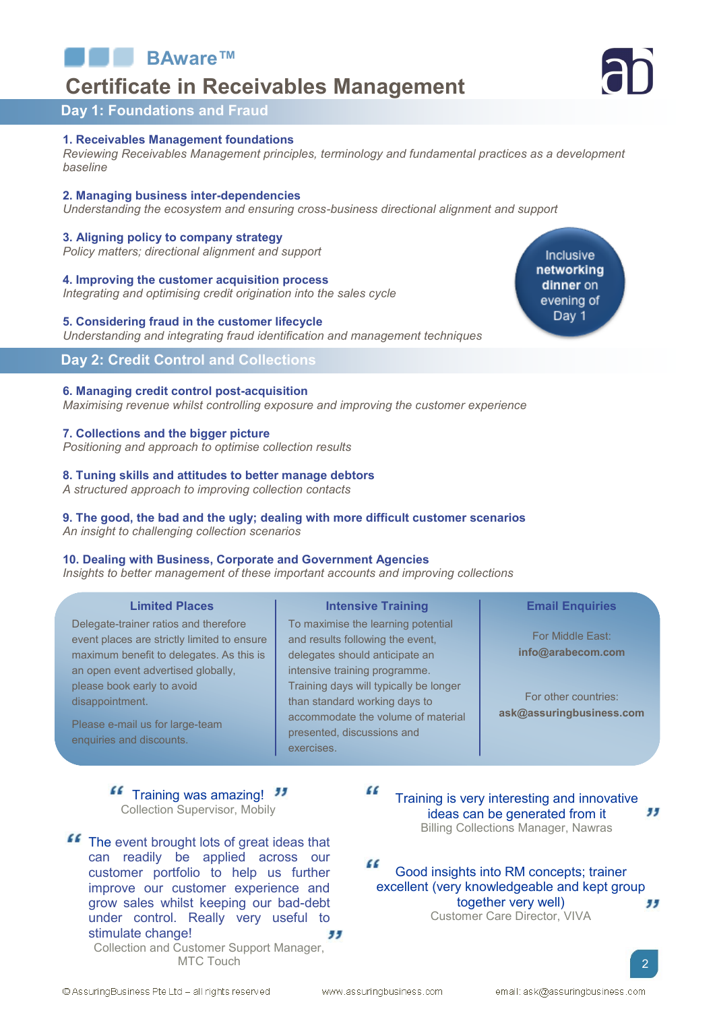**BAware™**

# **Certificate in Receivables Management**



# **Day 1: Foundations and Fraud**

#### **1. Receivables Management foundations**

*Reviewing Receivables Management principles, terminology and fundamental practices as a development baseline*

#### **2. Managing business inter-dependencies**

*Understanding the ecosystem and ensuring cross-business directional alignment and support*

### **3. Aligning policy to company strategy**

*Policy matters; directional alignment and support*

#### **4. Improving the customer acquisition process**

*Integrating and optimising credit origination into the sales cycle* 

## **5. Considering fraud in the customer lifecycle**

*Understanding and integrating fraud identification and management techniques* 

# **Day 2: Credit Control and Collections**

### **6. Managing credit control post-acquisition**

*Maximising revenue whilst controlling exposure and improving the customer experience*

### **7. Collections and the bigger picture**

*Positioning and approach to optimise collection results*

#### **8. Tuning skills and attitudes to better manage debtors**

*A structured approach to improving collection contacts*

#### **9. The good, the bad and the ugly; dealing with more difficult customer scenarios** *An insight to challenging collection scenarios*

#### **10. Dealing with Business, Corporate and Government Agencies**

*Insights to better management of these important accounts and improving collections*

## **Limited Places Intensive Training**

Delegate-trainer ratios and therefore event places are strictly limited to ensure maximum benefit to delegates. As this is an open event advertised globally, please book early to avoid disappointment.

Please e-mail us for large-team enquiries and discounts.

To maximise the learning potential and results following the event, delegates should anticipate an intensive training programme. Training days will typically be longer than standard working days to accommodate the volume of material presented, discussions and exercises.

#### **Email Enquiries**

For Middle East: **[info@arabecom.com](mailto:info@arabecom.com?subject=Training%20Enquiry)**

For other countries: **[ask@assuringbusiness.com](mailto:ask@assuringbusiness.com?subject=Training%20Enquiry)**

Training was amazing! Collection Supervisor, Mobily

**ff** The event brought lots of great ideas that can readily be applied across our customer portfolio to help us further improve our customer experience and grow sales whilst keeping our bad-debt under control. Really very useful to stimulate change! Collection and Customer Support Manager, MTC Touch

 $\epsilon$ Training is very interesting and innovative " ideas can be generated from it Billing Collections Manager, Nawras

 $\epsilon$ Good insights into RM concepts; trainer excellent (very knowledgeable and kept group together very well) 99 Customer Care Director, VIVA

© AssuringBusiness Pte Ltd - all rights reserved

Inclusive networking dinner on evening of Day 1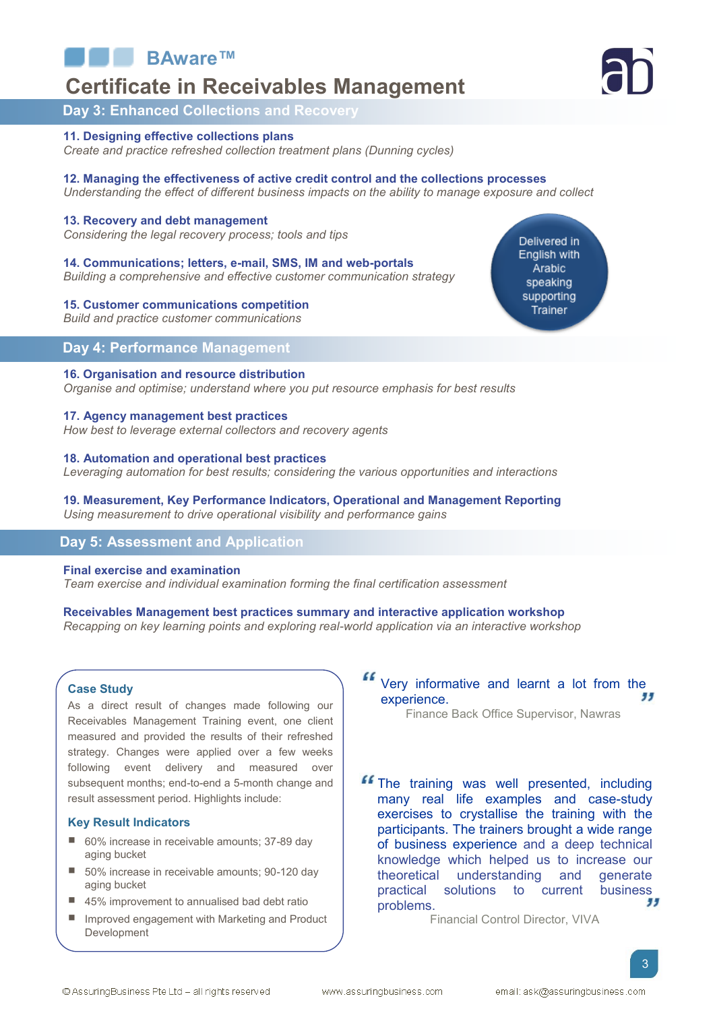

# **Certificate in Receivables Management**

# **Day 3: Enhanced Collections and Recovery**

#### **11. Designing effective collections plans** *Create and practice refreshed collection treatment plans (Dunning cycles)*

**12. Managing the effectiveness of active credit control and the collections processes** *Understanding the effect of different business impacts on the ability to manage exposure and collect*

#### **13. Recovery and debt management**

*Considering the legal recovery process; tools and tips*

**14. Communications; letters, e-mail, SMS, IM and web-portals**  *Building a comprehensive and effective customer communication strategy*

#### **15. Customer communications competition**

*Build and practice customer communications* 

# **Day 4: Performance Management**

### **16. Organisation and resource distribution**

*Organise and optimise; understand where you put resource emphasis for best results*

#### **17. Agency management best practices**

*How best to leverage external collectors and recovery agents*

#### **18. Automation and operational best practices**

*Leveraging automation for best results; considering the various opportunities and interactions*

#### **19. Measurement, Key Performance Indicators, Operational and Management Reporting** *Using measurement to drive operational visibility and performance gains*

# **Day 5: Assessment and Application**

#### **Final exercise and examination**

*Team exercise and individual examination forming the final certification assessment* 

## **Receivables Management best practices summary and interactive application workshop**

*Recapping on key learning points and exploring real-world application via an interactive workshop*

#### **Case Study**

As a direct result of changes made following our Receivables Management Training event, one client measured and provided the results of their refreshed strategy. Changes were applied over a few weeks following event delivery and measured over subsequent months; end-to-end a 5-month change and result assessment period. Highlights include:

#### **Key Result Indicators**

- 60% increase in receivable amounts; 37-89 day aging bucket
- 50% increase in receivable amounts; 90-120 day aging bucket
- 45% improvement to annualised bad debt ratio
- **Improved engagement with Marketing and Product** Development

Very informative and learnt a lot from the 99 experience.

Finance Back Office Supervisor, Nawras

**If** The training was well presented, including many real life examples and case-study exercises to crystallise the training with the participants. The trainers brought a wide range of business experience and a deep technical knowledge which helped us to increase our theoretical understanding and generate practical solutions to current business 55 problems.

Financial Control Director, VIVA



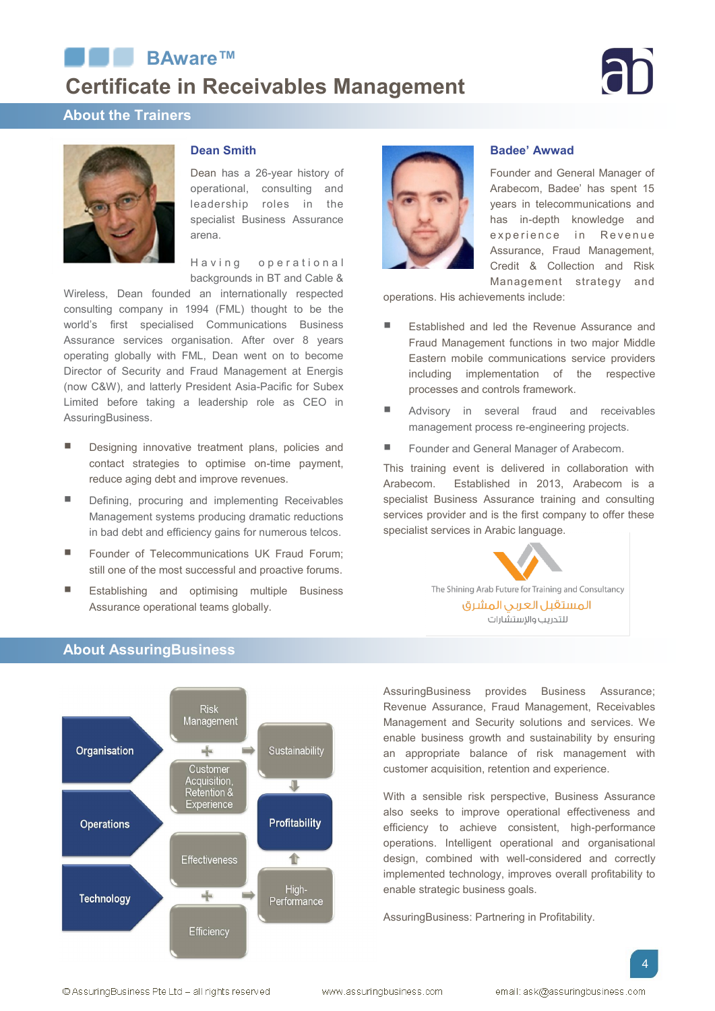# ■BAware™ **Certificate in Receivables Management**

# **About the Trainers**



## **Dean Smith**

Dean has a 26-year history of operational, consulting and leadership roles in the specialist Business Assurance arena.

Having operational backgrounds in BT and Cable &

Wireless, Dean founded an internationally respected consulting company in 1994 (FML) thought to be the world's first specialised Communications Business Assurance services organisation. After over 8 years operating globally with FML, Dean went on to become Director of Security and Fraud Management at Energis (now C&W), and latterly President Asia-Pacific for Subex Limited before taking a leadership role as CEO in AssuringBusiness.

- **Designing innovative treatment plans, policies and** contact strategies to optimise on-time payment, reduce aging debt and improve revenues.
- Defining, procuring and implementing Receivables Management systems producing dramatic reductions in bad debt and efficiency gains for numerous telcos.
- **F** Founder of Telecommunications UK Fraud Forum; still one of the most successful and proactive forums.
- Establishing and optimising multiple Business Assurance operational teams globally.



### **Badee' Awwad**

Founder and General Manager of Arabecom, Badee' has spent 15 years in telecommunications and has in-depth knowledge and experience in Revenue Assurance, Fraud Management, Credit & Collection and Risk Management strategy and

operations. His achievements include:

- Established and led the Revenue Assurance and Fraud Management functions in two major Middle Eastern mobile communications service providers including implementation of the respective processes and controls framework.
- Advisory in several fraud and receivables management process re-engineering projects.
- Founder and General Manager of Arabecom.

This training event is delivered in collaboration with Arabecom. Established in 2013, Arabecom is a specialist Business Assurance training and consulting services provider and is the first company to offer these specialist services in Arabic language.



# AssuringBusiness provides Business Assurance; Revenue Assurance, Fraud Management, Receivables Management and Security solutions and services. We enable business growth and sustainability by ensuring an appropriate balance of risk management with customer acquisition, retention and experience.

With a sensible risk perspective, Business Assurance also seeks to improve operational effectiveness and efficiency to achieve consistent, high-performance operations. Intelligent operational and organisational design, combined with well-considered and correctly implemented technology, improves overall profitability to enable strategic business goals.

AssuringBusiness: Partnering in Profitability.

# **About AssuringBusiness**



© AssuringBusiness Pte Ltd - all rights reserved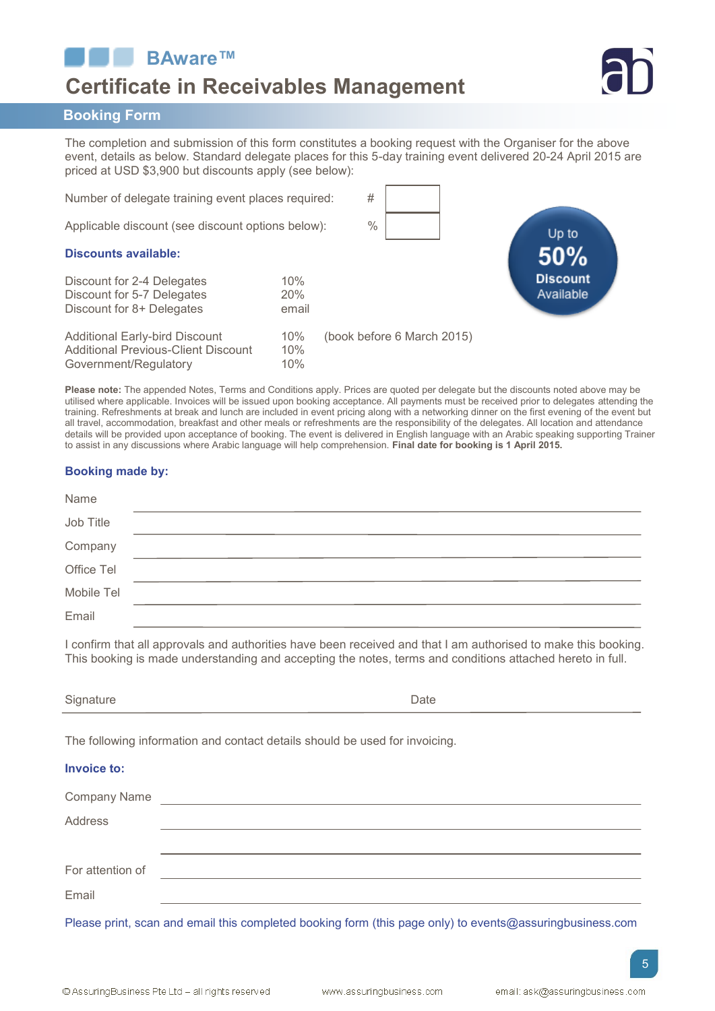**BAware™**

# **Certificate in Receivables Management**



# **Booking Form**

The completion and submission of this form constitutes a booking request with the Organiser for the above event, details as below. Standard delegate places for this 5-day training event delivered 20-24 April 2015 are priced at USD \$3,900 but discounts apply (see below):

Number of delegate training event places required: # Applicable discount (see discount options below): %

**Discounts available:**

| Discount for 2-4 Delegates<br>Discount for 5-7 Delegates<br>Discount for 8+ Delegates                        | 10%<br>20%<br>email |                            |
|--------------------------------------------------------------------------------------------------------------|---------------------|----------------------------|
| <b>Additional Early-bird Discount</b><br><b>Additional Previous-Client Discount</b><br>Government/Regulatory | 10%<br>10%<br>10%   | (book before 6 March 2015) |

Up to Available

**Please note:** The appended Notes, Terms and Conditions apply. Prices are quoted per delegate but the discounts noted above may be utilised where applicable. Invoices will be issued upon booking acceptance. All payments must be received prior to delegates attending the training. Refreshments at break and lunch are included in event pricing along with a networking dinner on the first evening of the event but all travel, accommodation, breakfast and other meals or refreshments are the responsibility of the delegates. All location and attendance details will be provided upon acceptance of booking. The event is delivered in English language with an Arabic speaking supporting Trainer to assist in any discussions where Arabic language will help comprehension. **Final date for booking is 1 April 2015.** 

# **Booking made by:**

| Name       |  |
|------------|--|
| Job Title  |  |
| Company    |  |
| Office Tel |  |
| Mobile Tel |  |
| Email      |  |

I confirm that all approvals and authorities have been received and that I am authorised to make this booking. This booking is made understanding and accepting the notes, terms and conditions attached hereto in full.

|  | Signature<br>~ు | Jate |  |
|--|-----------------|------|--|
|--|-----------------|------|--|

The following information and contact details should be used for invoicing.

# **Invoice to:**

| Company Name     |                                                                                                                 |
|------------------|-----------------------------------------------------------------------------------------------------------------|
| Address          |                                                                                                                 |
|                  |                                                                                                                 |
| For attention of |                                                                                                                 |
| Email            |                                                                                                                 |
| ___              | the contract of the contract of the contract of the contract of the contract of the contract of the contract of |

Please print, scan and email this completed booking form (this page only) to events@assuringbusiness.com